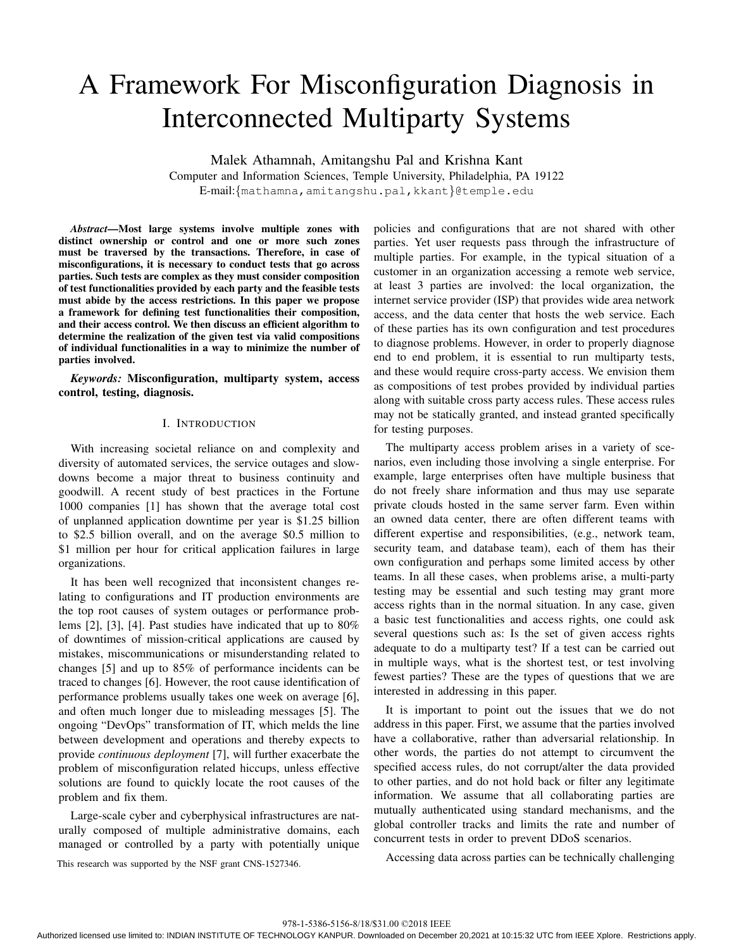# A Framework For Misconfiguration Diagnosis in Interconnected Multiparty Systems

Malek Athamnah, Amitangshu Pal and Krishna Kant

Computer and Information Sciences, Temple University, Philadelphia, PA 19122 E-mail:{mathamna,amitangshu.pal,kkant}@temple.edu

*Abstract*—Most large systems involve multiple zones with distinct ownership or control and one or more such zones must be traversed by the transactions. Therefore, in case of misconfigurations, it is necessary to conduct tests that go across parties. Such tests are complex as they must consider composition of test functionalities provided by each party and the feasible tests must abide by the access restrictions. In this paper we propose a framework for defining test functionalities their composition, and their access control. We then discuss an efficient algorithm to determine the realization of the given test via valid compositions of individual functionalities in a way to minimize the number of parties involved.

*Keywords:* Misconfiguration, multiparty system, access control, testing, diagnosis.

# I. INTRODUCTION

With increasing societal reliance on and complexity and diversity of automated services, the service outages and slowdowns become a major threat to business continuity and goodwill. A recent study of best practices in the Fortune 1000 companies [1] has shown that the average total cost of unplanned application downtime per year is \$1.25 billion to \$2.5 billion overall, and on the average \$0.5 million to \$1 million per hour for critical application failures in large organizations.

It has been well recognized that inconsistent changes relating to configurations and IT production environments are the top root causes of system outages or performance problems [2], [3], [4]. Past studies have indicated that up to 80% of downtimes of mission-critical applications are caused by mistakes, miscommunications or misunderstanding related to changes [5] and up to 85% of performance incidents can be traced to changes [6]. However, the root cause identification of performance problems usually takes one week on average [6], and often much longer due to misleading messages [5]. The ongoing "DevOps" transformation of IT, which melds the line between development and operations and thereby expects to provide *continuous deployment* [7], will further exacerbate the problem of misconfiguration related hiccups, unless effective solutions are found to quickly locate the root causes of the problem and fix them.

Large-scale cyber and cyberphysical infrastructures are naturally composed of multiple administrative domains, each managed or controlled by a party with potentially unique policies and configurations that are not shared with other parties. Yet user requests pass through the infrastructure of multiple parties. For example, in the typical situation of a customer in an organization accessing a remote web service, at least 3 parties are involved: the local organization, the internet service provider (ISP) that provides wide area network access, and the data center that hosts the web service. Each of these parties has its own configuration and test procedures to diagnose problems. However, in order to properly diagnose end to end problem, it is essential to run multiparty tests, and these would require cross-party access. We envision them as compositions of test probes provided by individual parties along with suitable cross party access rules. These access rules may not be statically granted, and instead granted specifically for testing purposes.

The multiparty access problem arises in a variety of scenarios, even including those involving a single enterprise. For example, large enterprises often have multiple business that do not freely share information and thus may use separate private clouds hosted in the same server farm. Even within an owned data center, there are often different teams with different expertise and responsibilities, (e.g., network team, security team, and database team), each of them has their own configuration and perhaps some limited access by other teams. In all these cases, when problems arise, a multi-party testing may be essential and such testing may grant more access rights than in the normal situation. In any case, given a basic test functionalities and access rights, one could ask several questions such as: Is the set of given access rights adequate to do a multiparty test? If a test can be carried out in multiple ways, what is the shortest test, or test involving fewest parties? These are the types of questions that we are interested in addressing in this paper.

It is important to point out the issues that we do not address in this paper. First, we assume that the parties involved have a collaborative, rather than adversarial relationship. In other words, the parties do not attempt to circumvent the specified access rules, do not corrupt/alter the data provided to other parties, and do not hold back or filter any legitimate information. We assume that all collaborating parties are mutually authenticated using standard mechanisms, and the global controller tracks and limits the rate and number of concurrent tests in order to prevent DDoS scenarios.

Accessing data across parties can be technically challenging This research was supported by the NSF grant CNS-1527346.

978-1-5386-5156-8/18/\$31.00 ©2018 IEEE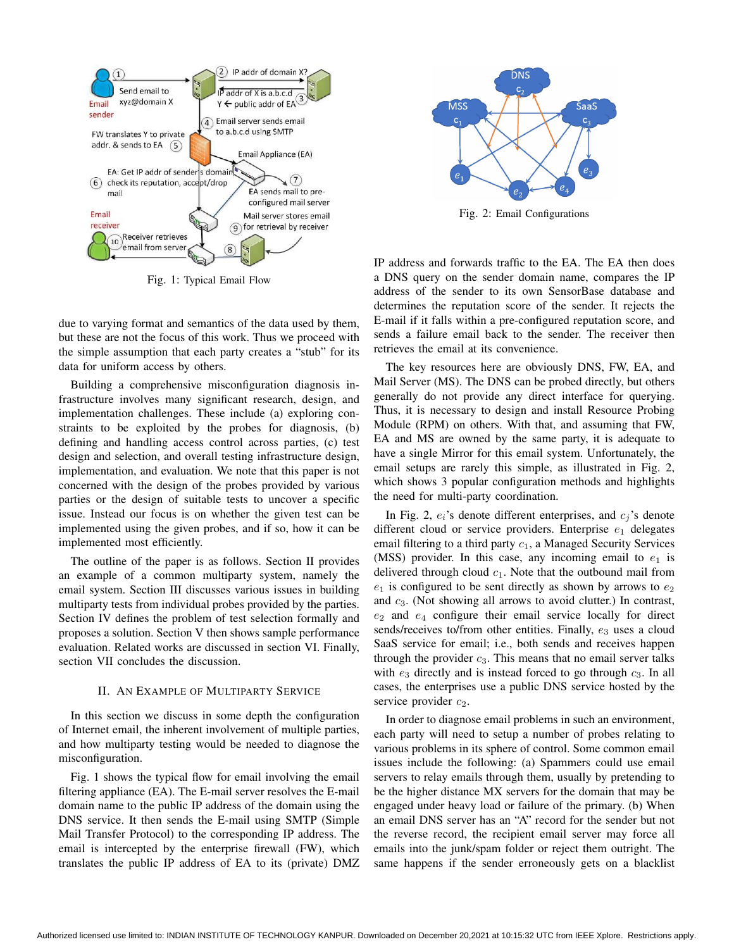

Fig. 1: Typical Email Flow

due to varying format and semantics of the data used by them, but these are not the focus of this work. Thus we proceed with the simple assumption that each party creates a "stub" for its data for uniform access by others.

Building a comprehensive misconfiguration diagnosis infrastructure involves many significant research, design, and implementation challenges. These include (a) exploring constraints to be exploited by the probes for diagnosis, (b) defining and handling access control across parties, (c) test design and selection, and overall testing infrastructure design, implementation, and evaluation. We note that this paper is not concerned with the design of the probes provided by various parties or the design of suitable tests to uncover a specific issue. Instead our focus is on whether the given test can be implemented using the given probes, and if so, how it can be implemented most efficiently.

The outline of the paper is as follows. Section II provides an example of a common multiparty system, namely the email system. Section III discusses various issues in building multiparty tests from individual probes provided by the parties. Section IV defines the problem of test selection formally and proposes a solution. Section V then shows sample performance evaluation. Related works are discussed in section VI. Finally, section VII concludes the discussion.

# II. AN EXAMPLE OF MULTIPARTY SERVICE

In this section we discuss in some depth the configuration of Internet email, the inherent involvement of multiple parties, and how multiparty testing would be needed to diagnose the misconfiguration.

Fig. 1 shows the typical flow for email involving the email filtering appliance (EA). The E-mail server resolves the E-mail domain name to the public IP address of the domain using the DNS service. It then sends the E-mail using SMTP (Simple Mail Transfer Protocol) to the corresponding IP address. The email is intercepted by the enterprise firewall (FW), which translates the public IP address of EA to its (private) DMZ



Fig. 2: Email Configurations

IP address and forwards traffic to the EA. The EA then does a DNS query on the sender domain name, compares the IP address of the sender to its own SensorBase database and determines the reputation score of the sender. It rejects the E-mail if it falls within a pre-configured reputation score, and sends a failure email back to the sender. The receiver then retrieves the email at its convenience.

The key resources here are obviously DNS, FW, EA, and Mail Server (MS). The DNS can be probed directly, but others generally do not provide any direct interface for querying. Thus, it is necessary to design and install Resource Probing Module (RPM) on others. With that, and assuming that FW, EA and MS are owned by the same party, it is adequate to have a single Mirror for this email system. Unfortunately, the email setups are rarely this simple, as illustrated in Fig. 2, which shows 3 popular configuration methods and highlights the need for multi-party coordination.

In Fig. 2,  $e_i$ 's denote different enterprises, and  $c_i$ 's denote different cloud or service providers. Enterprise  $e_1$  delegates email filtering to a third party  $c_1$ , a Managed Security Services (MSS) provider. In this case, any incoming email to  $e_1$  is delivered through cloud  $c_1$ . Note that the outbound mail from  $e_1$  is configured to be sent directly as shown by arrows to  $e_2$ and  $c_3$ . (Not showing all arrows to avoid clutter.) In contrast,  $e_2$  and  $e_4$  configure their email service locally for direct sends/receives to/from other entities. Finally,  $e_3$  uses a cloud SaaS service for email; i.e., both sends and receives happen through the provider  $c_3$ . This means that no email server talks with  $e_3$  directly and is instead forced to go through  $c_3$ . In all cases, the enterprises use a public DNS service hosted by the service provider  $c_2$ .

In order to diagnose email problems in such an environment, each party will need to setup a number of probes relating to various problems in its sphere of control. Some common email issues include the following: (a) Spammers could use email servers to relay emails through them, usually by pretending to be the higher distance MX servers for the domain that may be engaged under heavy load or failure of the primary. (b) When an email DNS server has an "A" record for the sender but not the reverse record, the recipient email server may force all emails into the junk/spam folder or reject them outright. The same happens if the sender erroneously gets on a blacklist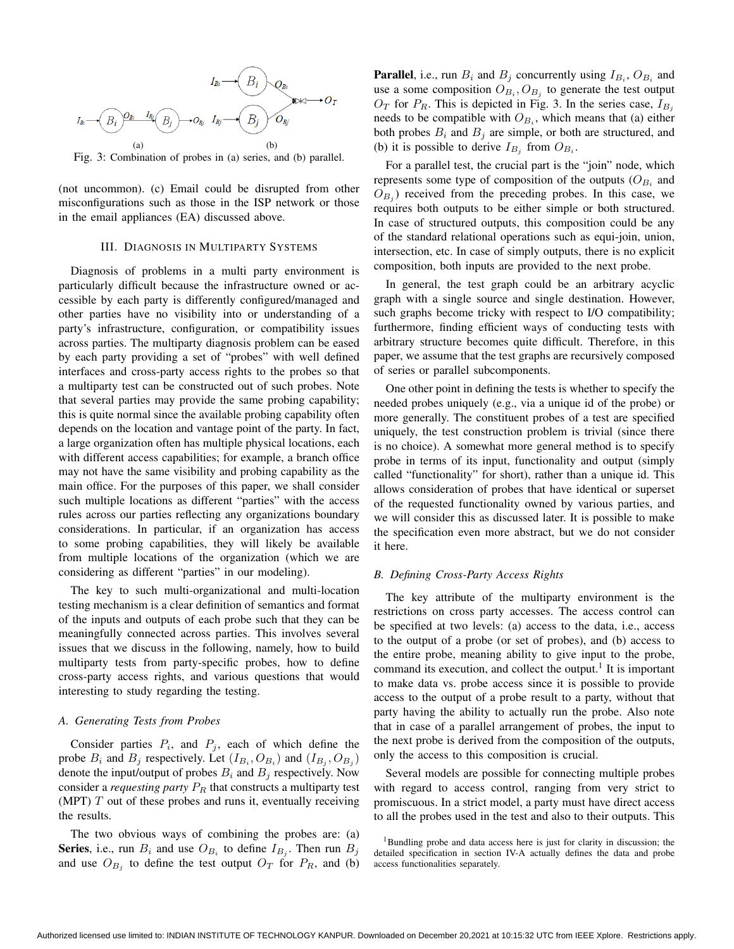

(not uncommon). (c) Email could be disrupted from other misconfigurations such as those in the ISP network or those in the email appliances (EA) discussed above.

# III. DIAGNOSIS IN MULTIPARTY SYSTEMS

Diagnosis of problems in a multi party environment is particularly difficult because the infrastructure owned or accessible by each party is differently configured/managed and other parties have no visibility into or understanding of a party's infrastructure, configuration, or compatibility issues across parties. The multiparty diagnosis problem can be eased by each party providing a set of "probes" with well defined interfaces and cross-party access rights to the probes so that a multiparty test can be constructed out of such probes. Note that several parties may provide the same probing capability; this is quite normal since the available probing capability often depends on the location and vantage point of the party. In fact, a large organization often has multiple physical locations, each with different access capabilities; for example, a branch office may not have the same visibility and probing capability as the main office. For the purposes of this paper, we shall consider such multiple locations as different "parties" with the access rules across our parties reflecting any organizations boundary considerations. In particular, if an organization has access to some probing capabilities, they will likely be available from multiple locations of the organization (which we are considering as different "parties" in our modeling).

The key to such multi-organizational and multi-location testing mechanism is a clear definition of semantics and format of the inputs and outputs of each probe such that they can be meaningfully connected across parties. This involves several issues that we discuss in the following, namely, how to build multiparty tests from party-specific probes, how to define cross-party access rights, and various questions that would interesting to study regarding the testing.

#### *A. Generating Tests from Probes*

Consider parties  $P_i$ , and  $P_j$ , each of which define the probe  $B_i$  and  $B_j$  respectively. Let  $(I_{B_i}, O_{B_i})$  and  $(I_{B_j}, O_{B_j})$ denote the input/output of probes  $B_i$  and  $B_j$  respectively. Now consider a *requesting party*  $P_R$  that constructs a multiparty test (MPT)  $T$  out of these probes and runs it, eventually receiving the results.

The two obvious ways of combining the probes are: (a) **Series**, i.e., run  $B_i$  and use  $O_{B_i}$  to define  $I_{B_j}$ . Then run  $B_j$ and use  $O_{B_j}$  to define the test output  $O_T$  for  $P_R$ , and (b)

**Parallel**, i.e., run  $B_i$  and  $B_j$  concurrently using  $I_{B_i}$ ,  $O_{B_i}$  and use a some composition  $O_{B_i}, O_{B_j}$  to generate the test output  $O_T$  for  $P_R$ . This is depicted in Fig. 3. In the series case,  $I_{B_i}$ needs to be compatible with  $O_{B_i}$ , which means that (a) either both probes  $B_i$  and  $B_j$  are simple, or both are structured, and (b) it is possible to derive  $I_{B_j}$  from  $O_{B_i}$ .

For a parallel test, the crucial part is the "join" node, which represents some type of composition of the outputs  $(O_{B_i})$  and  $O_{B_j}$ ) received from the preceding probes. In this case, we requires both outputs to be either simple or both structured. In case of structured outputs, this composition could be any of the standard relational operations such as equi-join, union, intersection, etc. In case of simply outputs, there is no explicit composition, both inputs are provided to the next probe.

In general, the test graph could be an arbitrary acyclic graph with a single source and single destination. However, such graphs become tricky with respect to I/O compatibility; furthermore, finding efficient ways of conducting tests with arbitrary structure becomes quite difficult. Therefore, in this paper, we assume that the test graphs are recursively composed of series or parallel subcomponents.

One other point in defining the tests is whether to specify the needed probes uniquely (e.g., via a unique id of the probe) or more generally. The constituent probes of a test are specified uniquely, the test construction problem is trivial (since there is no choice). A somewhat more general method is to specify probe in terms of its input, functionality and output (simply called "functionality" for short), rather than a unique id. This allows consideration of probes that have identical or superset of the requested functionality owned by various parties, and we will consider this as discussed later. It is possible to make the specification even more abstract, but we do not consider it here.

## *B. Defining Cross-Party Access Rights*

The key attribute of the multiparty environment is the restrictions on cross party accesses. The access control can be specified at two levels: (a) access to the data, i.e., access to the output of a probe (or set of probes), and (b) access to the entire probe, meaning ability to give input to the probe, command its execution, and collect the output.<sup>1</sup> It is important to make data vs. probe access since it is possible to provide access to the output of a probe result to a party, without that party having the ability to actually run the probe. Also note that in case of a parallel arrangement of probes, the input to the next probe is derived from the composition of the outputs, only the access to this composition is crucial.

Several models are possible for connecting multiple probes with regard to access control, ranging from very strict to promiscuous. In a strict model, a party must have direct access to all the probes used in the test and also to their outputs. This

<sup>&</sup>lt;sup>1</sup>Bundling probe and data access here is just for clarity in discussion; the detailed specification in section IV-A actually defines the data and probe access functionalities separately.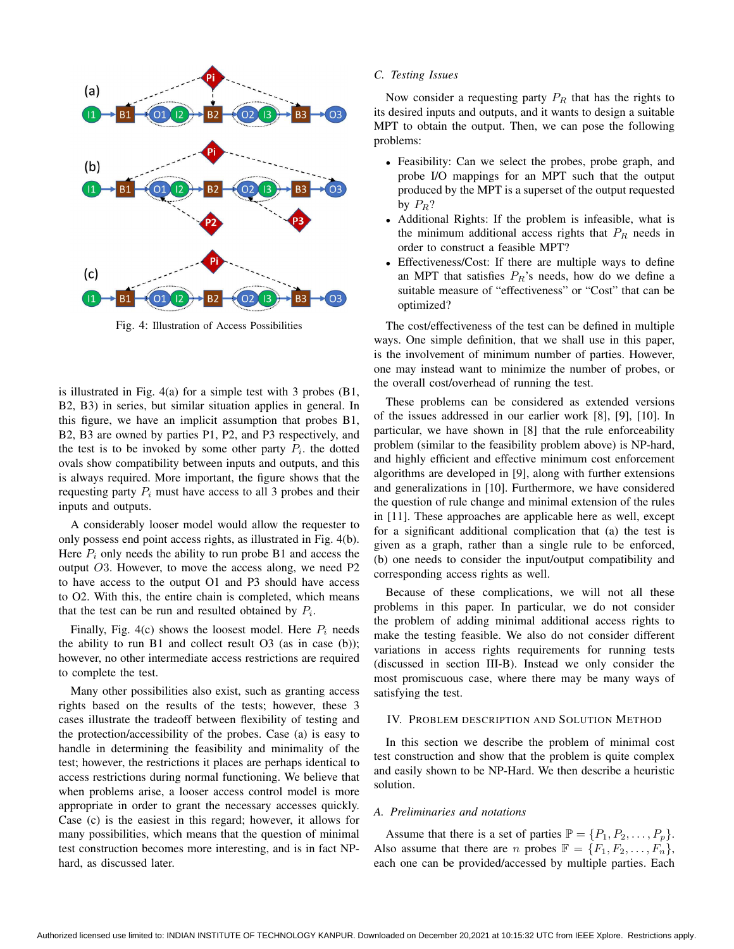

Fig. 4: Illustration of Access Possibilities

is illustrated in Fig. 4(a) for a simple test with 3 probes (B1, B2, B3) in series, but similar situation applies in general. In this figure, we have an implicit assumption that probes B1, B2, B3 are owned by parties P1, P2, and P3 respectively, and the test is to be invoked by some other party  $P_i$ , the dotted ovals show compatibility between inputs and outputs, and this is always required. More important, the figure shows that the requesting party  $P_i$  must have access to all 3 probes and their inputs and outputs.

A considerably looser model would allow the requester to only possess end point access rights, as illustrated in Fig. 4(b). Here  $P_i$  only needs the ability to run probe B1 and access the output O3. However, to move the access along, we need P2 to have access to the output O1 and P3 should have access to O2. With this, the entire chain is completed, which means that the test can be run and resulted obtained by  $P_i$ .

Finally, Fig. 4(c) shows the loosest model. Here  $P_i$  needs the ability to run B1 and collect result  $O3$  (as in case (b)); however, no other intermediate access restrictions are required to complete the test.

Many other possibilities also exist, such as granting access rights based on the results of the tests; however, these 3 cases illustrate the tradeoff between flexibility of testing and the protection/accessibility of the probes. Case (a) is easy to handle in determining the feasibility and minimality of the test; however, the restrictions it places are perhaps identical to access restrictions during normal functioning. We believe that when problems arise, a looser access control model is more appropriate in order to grant the necessary accesses quickly. Case (c) is the easiest in this regard; however, it allows for many possibilities, which means that the question of minimal test construction becomes more interesting, and is in fact NPhard, as discussed later.

## *C. Testing Issues*

Now consider a requesting party  $P_R$  that has the rights to its desired inputs and outputs, and it wants to design a suitable MPT to obtain the output. Then, we can pose the following problems:

- Feasibility: Can we select the probes, probe graph, and probe I/O mappings for an MPT such that the output produced by the MPT is a superset of the output requested by  $P_R$ ?
- Additional Rights: If the problem is infeasible, what is the minimum additional access rights that  $P_R$  needs in order to construct a feasible MPT?
- Effectiveness/Cost: If there are multiple ways to define an MPT that satisfies  $P_R$ 's needs, how do we define a suitable measure of "effectiveness" or "Cost" that can be optimized?

The cost/effectiveness of the test can be defined in multiple ways. One simple definition, that we shall use in this paper, is the involvement of minimum number of parties. However, one may instead want to minimize the number of probes, or the overall cost/overhead of running the test.

These problems can be considered as extended versions of the issues addressed in our earlier work [8], [9], [10]. In particular, we have shown in [8] that the rule enforceability problem (similar to the feasibility problem above) is NP-hard, and highly efficient and effective minimum cost enforcement algorithms are developed in [9], along with further extensions and generalizations in [10]. Furthermore, we have considered the question of rule change and minimal extension of the rules in [11]. These approaches are applicable here as well, except for a significant additional complication that (a) the test is given as a graph, rather than a single rule to be enforced, (b) one needs to consider the input/output compatibility and corresponding access rights as well.

Because of these complications, we will not all these problems in this paper. In particular, we do not consider the problem of adding minimal additional access rights to make the testing feasible. We also do not consider different variations in access rights requirements for running tests (discussed in section III-B). Instead we only consider the most promiscuous case, where there may be many ways of satisfying the test.

# IV. PROBLEM DESCRIPTION AND SOLUTION METHOD

In this section we describe the problem of minimal cost test construction and show that the problem is quite complex and easily shown to be NP-Hard. We then describe a heuristic solution.

## *A. Preliminaries and notations*

Assume that there is a set of parties  $\mathbb{P} = \{P_1, P_2, \ldots, P_p\}.$ Also assume that there are *n* probes  $\mathbb{F} = \{F_1, F_2, \dots, F_n\},\$ each one can be provided/accessed by multiple parties. Each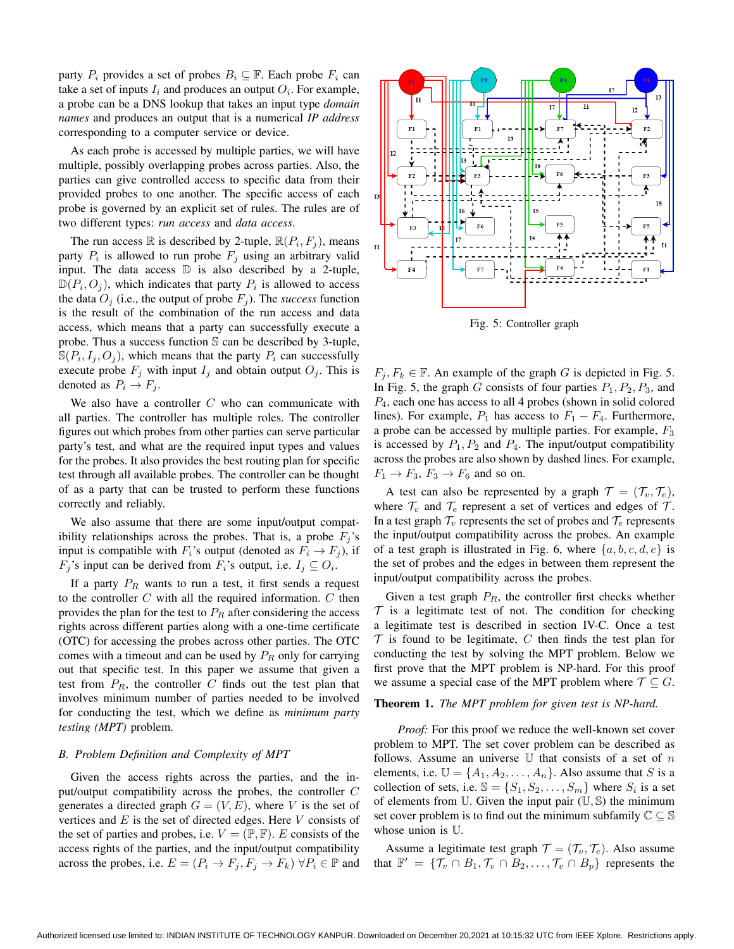party  $P_i$  provides a set of probes  $B_i \subseteq \mathbb{F}$ . Each probe  $F_i$  can take a set of inputs  $I_i$  and produces an output  $O_i$ . For example, a probe can be a DNS lookup that takes an input type *domain names* and produces an output that is a numerical *IP address* corresponding to a computer service or device.

As each probe is accessed by multiple parties, we will have multiple, possibly overlapping probes across parties. Also, the parties can give controlled access to specific data from their provided probes to one another. The specific access of each probe is governed by an explicit set of rules. The rules are of two different types: *run access* and *data access*.

The run access  $\mathbb R$  is described by 2-tuple,  $\mathbb R(P_i, F_j)$ , means party  $P_i$  is allowed to run probe  $F_j$  using an arbitrary valid input. The data access D is also described by a 2-tuple,  $\mathbb{D}(P_i, O_j)$ , which indicates that party  $P_i$  is allowed to access the data  $O_i$  (i.e., the output of probe  $F_i$ ). The *success* function is the result of the combination of the run access and data access, which means that a party can successfully execute a probe. Thus a success function S can be described by 3-tuple,  $\mathbb{S}(P_i, I_j, O_j)$ , which means that the party  $P_i$  can successfully execute probe  $F_j$  with input  $I_j$  and obtain output  $O_j$ . This is denoted as  $P_i \rightarrow F_j$ .

We also have a controller  $C$  who can communicate with all parties. The controller has multiple roles. The controller figures out which probes from other parties can serve particular party's test, and what are the required input types and values for the probes. It also provides the best routing plan for specific test through all available probes. The controller can be thought of as a party that can be trusted to perform these functions correctly and reliably.

We also assume that there are some input/output compatibility relationships across the probes. That is, a probe  $F_i$ 's input is compatible with  $F_i$ 's output (denoted as  $F_i \rightarrow F_j$ ), if  $F_j$ 's input can be derived from  $F_i$ 's output, i.e.  $I_j \subseteq O_i$ .

If a party  $P_R$  wants to run a test, it first sends a request to the controller  $C$  with all the required information.  $C$  then provides the plan for the test to  $P_R$  after considering the access rights across different parties along with a one-time certificate (OTC) for accessing the probes across other parties. The OTC comes with a timeout and can be used by  $P_R$  only for carrying out that specific test. In this paper we assume that given a test from  $P_R$ , the controller C finds out the test plan that involves minimum number of parties needed to be involved for conducting the test, which we define as *minimum party testing (MPT)* problem.

## *B. Problem Definition and Complexity of MPT*

Given the access rights across the parties, and the input/output compatibility across the probes, the controller C generates a directed graph  $G = (V, E)$ , where V is the set of vertices and  $E$  is the set of directed edges. Here  $V$  consists of the set of parties and probes, i.e.  $V = (\mathbb{P}, \mathbb{F})$ . E consists of the access rights of the parties, and the input/output compatibility across the probes, i.e.  $E = (P_i \rightarrow F_j, F_j \rightarrow F_k) \forall P_i \in \mathbb{P}$  and



Fig. 5: Controller graph

 $F_i, F_k \in \mathbb{F}$ . An example of the graph G is depicted in Fig. 5. In Fig. 5, the graph G consists of four parties  $P_1$ ,  $P_2$ ,  $P_3$ , and  $P_4$ , each one has access to all 4 probes (shown in solid colored lines). For example,  $P_1$  has access to  $F_1 - F_4$ . Furthermore, a probe can be accessed by multiple parties. For example,  $F_3$ is accessed by  $P_1, P_2$  and  $P_4$ . The input/output compatibility across the probes are also shown by dashed lines. For example,  $F_1 \rightarrow F_3$ ,  $F_3 \rightarrow F_6$  and so on.

A test can also be represented by a graph  $\mathcal{T} = (\mathcal{T}_v, \mathcal{T}_e)$ , where  $\mathcal{T}_v$  and  $\mathcal{T}_e$  represent a set of vertices and edges of  $\mathcal{T}_v$ . In a test graph  $\mathcal{T}_v$  represents the set of probes and  $\mathcal{T}_e$  represents the input/output compatibility across the probes. An example of a test graph is illustrated in Fig. 6, where  $\{a, b, c, d, e\}$  is the set of probes and the edges in between them represent the input/output compatibility across the probes.

Given a test graph  $P_R$ , the controller first checks whether  $T$  is a legitimate test of not. The condition for checking a legitimate test is described in section IV-C. Once a test  $\mathcal T$  is found to be legitimate,  $C$  then finds the test plan for conducting the test by solving the MPT problem. Below we first prove that the MPT problem is NP-hard. For this proof we assume a special case of the MPT problem where  $\mathcal{T} \subseteq G$ .

# Theorem 1. *The MPT problem for given test is NP-hard.*

*Proof:* For this proof we reduce the well-known set cover problem to MPT. The set cover problem can be described as follows. Assume an universe  $U$  that consists of a set of  $n$ elements, i.e.  $\mathbb{U} = \{A_1, A_2, \ldots, A_n\}$ . Also assume that S is a collection of sets, i.e.  $\mathbb{S} = \{S_1, S_2, \dots, S_m\}$  where  $S_i$  is a set of elements from  $U$ . Given the input pair  $(U, S)$  the minimum set cover problem is to find out the minimum subfamily  $\mathbb{C} \subseteq \mathbb{S}$ whose union is U.

Assume a legitimate test graph  $\mathcal{T} = (\mathcal{T}_v, \mathcal{T}_e)$ . Also assume that  $\mathbb{F}' = \{ \mathcal{T}_v \cap B_1, \mathcal{T}_v \cap B_2, \dots, \mathcal{T}_v \cap B_p \}$  represents the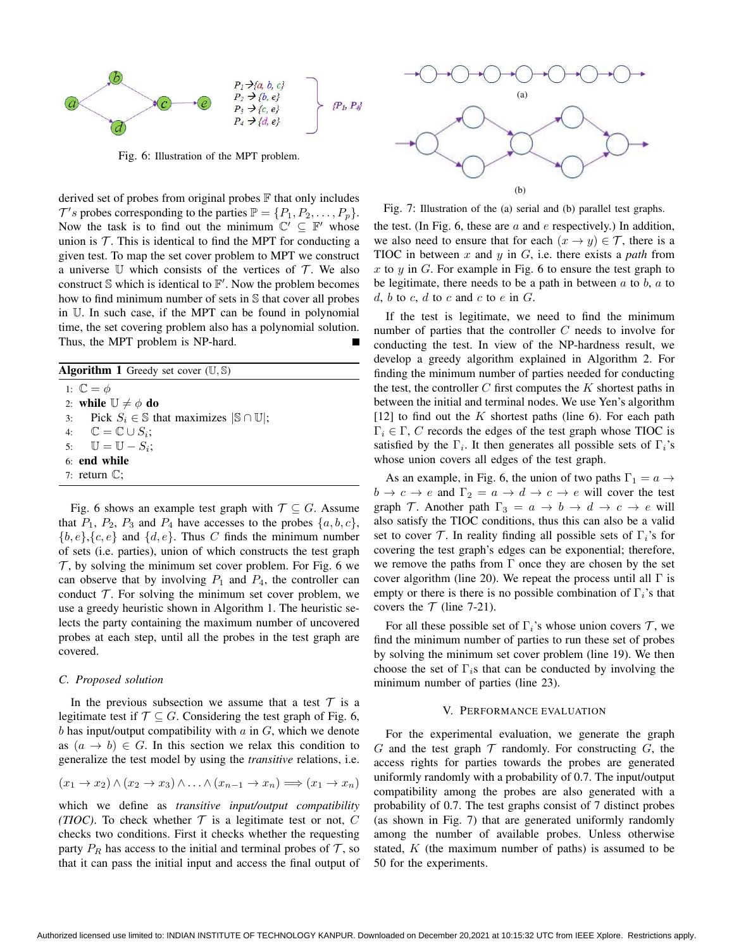

Fig. 6: Illustration of the MPT problem.

derived set of probes from original probes  $\mathbb F$  that only includes  $\mathcal{T}'$ s probes corresponding to the parties  $\mathbb{P} = \{P_1, P_2, \ldots, P_p\}.$ Now the task is to find out the minimum  $\mathbb{C}' \subseteq \mathbb{F}'$  whose union is  $\mathcal T$ . This is identical to find the MPT for conducting a given test. To map the set cover problem to MPT we construct a universe  $U$  which consists of the vertices of  $T$ . We also construct  $\mathbb S$  which is identical to  $\mathbb F'$ . Now the problem becomes how to find minimum number of sets in S that cover all probes in U. In such case, if the MPT can be found in polynomial time, the set covering problem also has a polynomial solution. Thus, the MPT problem is NP-hard.

| <b>Algorithm 1</b> Greedy set cover $(\mathbb{U}, \mathbb{S})$ |                                                                              |
|----------------------------------------------------------------|------------------------------------------------------------------------------|
|                                                                | 1: $\mathbb{C} = \phi$                                                       |
|                                                                | 2: while $\mathbb{U} \neq \phi$ do                                           |
|                                                                | 3: Pick $S_i \in \mathbb{S}$ that maximizes $ \mathbb{S} \cap \mathbb{U} $ ; |
|                                                                | 4: $\mathbb{C} = \mathbb{C} \cup S_i$ ;                                      |
|                                                                | 5: $\mathbb{U} = \mathbb{U} - S_i$ ;                                         |
|                                                                | $6:$ end while                                                               |
|                                                                | 7: return $\mathbb{C}$ ;                                                     |

Fig. 6 shows an example test graph with  $\mathcal{T} \subseteq G$ . Assume that  $P_1$ ,  $P_2$ ,  $P_3$  and  $P_4$  have accesses to the probes  $\{a, b, c\}$ ,  ${b, e}, {c, e}$  and  ${d, e}$ . Thus C finds the minimum number of sets (i.e. parties), union of which constructs the test graph  $\mathcal T$ , by solving the minimum set cover problem. For Fig. 6 we can observe that by involving  $P_1$  and  $P_4$ , the controller can conduct  $\mathcal T$ . For solving the minimum set cover problem, we use a greedy heuristic shown in Algorithm 1. The heuristic selects the party containing the maximum number of uncovered probes at each step, until all the probes in the test graph are covered.

#### *C. Proposed solution*

In the previous subsection we assume that a test  $\mathcal T$  is a legitimate test if  $\mathcal{T} \subseteq G$ . Considering the test graph of Fig. 6, b has input/output compatibility with  $a$  in  $G$ , which we denote as  $(a \rightarrow b) \in G$ . In this section we relax this condition to generalize the test model by using the *transitive* relations, i.e.

$$
(x_1 \to x_2) \land (x_2 \to x_3) \land \ldots \land (x_{n-1} \to x_n) \Longrightarrow (x_1 \to x_n)
$$

which we define as *transitive input/output compatibility (TIOC)*. To check whether  $\mathcal T$  is a legitimate test or not,  $C$ checks two conditions. First it checks whether the requesting party  $P_R$  has access to the initial and terminal probes of  $\mathcal T$ , so that it can pass the initial input and access the final output of



Fig. 7: Illustration of the (a) serial and (b) parallel test graphs.

the test. (In Fig. 6, these are  $a$  and  $e$  respectively.) In addition, we also need to ensure that for each  $(x \rightarrow y) \in \mathcal{T}$ , there is a TIOC in between x and y in G, i.e. there exists a *path* from  $x$  to  $y$  in  $G$ . For example in Fig. 6 to ensure the test graph to be legitimate, there needs to be a path in between  $a$  to  $b$ ,  $a$  to  $d, b$  to  $c, d$  to  $c$  and  $c$  to  $e$  in  $G$ .

If the test is legitimate, we need to find the minimum number of parties that the controller C needs to involve for conducting the test. In view of the NP-hardness result, we develop a greedy algorithm explained in Algorithm 2. For finding the minimum number of parties needed for conducting the test, the controller  $C$  first computes the  $K$  shortest paths in between the initial and terminal nodes. We use Yen's algorithm [12] to find out the K shortest paths (line 6). For each path  $\Gamma_i \in \Gamma$ , C records the edges of the test graph whose TIOC is satisfied by the  $\Gamma_i$ . It then generates all possible sets of  $\Gamma_i$ 's whose union covers all edges of the test graph.

As an example, in Fig. 6, the union of two paths  $\Gamma_1 = a \rightarrow$  $b \to c \to e$  and  $\Gamma_2 = a \to d \to c \to e$  will cover the test graph T. Another path  $\Gamma_3 = a \rightarrow b \rightarrow d \rightarrow c \rightarrow e$  will also satisfy the TIOC conditions, thus this can also be a valid set to cover T. In reality finding all possible sets of  $\Gamma_i$ 's for covering the test graph's edges can be exponential; therefore, we remove the paths from  $\Gamma$  once they are chosen by the set cover algorithm (line 20). We repeat the process until all  $\Gamma$  is empty or there is there is no possible combination of  $\Gamma_i$ 's that covers the  $\mathcal T$  (line 7-21).

For all these possible set of  $\Gamma_i$ 's whose union covers  $\mathcal T$ , we find the minimum number of parties to run these set of probes by solving the minimum set cover problem (line 19). We then choose the set of  $\Gamma_i$ s that can be conducted by involving the minimum number of parties (line 23).

#### V. PERFORMANCE EVALUATION

For the experimental evaluation, we generate the graph G and the test graph  $\mathcal T$  randomly. For constructing G, the access rights for parties towards the probes are generated uniformly randomly with a probability of 0.7. The input/output compatibility among the probes are also generated with a probability of 0.7. The test graphs consist of 7 distinct probes (as shown in Fig. 7) that are generated uniformly randomly among the number of available probes. Unless otherwise stated,  $K$  (the maximum number of paths) is assumed to be 50 for the experiments.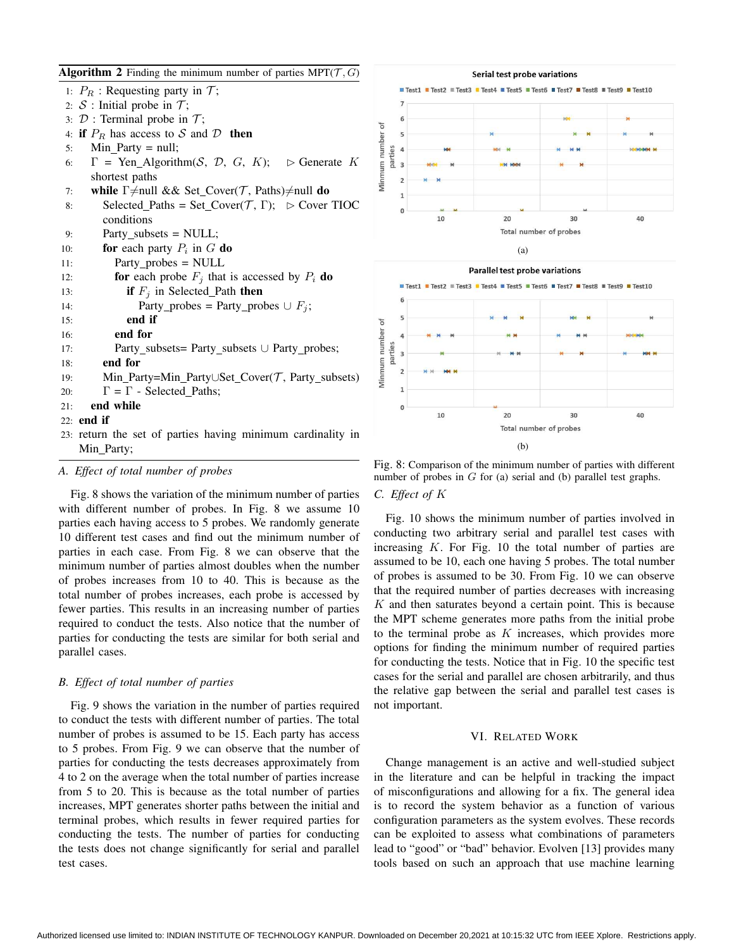Algorithm 2 Finding the minimum number of parties  $MPT(T, G)$ 

1:  $P_R$ : Requesting party in  $\mathcal{T}$ ; 2:  $S$  : Initial probe in  $T$ ; 3:  $D$  : Terminal probe in  $\mathcal{T}$ ; 4: if  $P_R$  has access to S and D then 5: Min Party = null; 6:  $\Gamma$  = Yen\_Algorithm(S, D, G, K);  $\triangleright$  Generate K shortest paths 7: while  $\Gamma \neq \text{null}$  && Set\_Cover(T, Paths) $\neq$ null do 8: Selected Paths = Set Cover( $\mathcal{T}$ ,  $\Gamma$ );  $\triangleright$  Cover TIOC conditions 9: Party\_subsets = NULL; 10: **for** each party  $P_i$  in  $G$  **do** 11: Party probes = NULL 12: **for** each probe  $F_i$  that is accessed by  $P_i$  **do** 13: **if**  $F_i$  in Selected Path then 14: Party\_probes = Party\_probes  $\cup F_i$ ; 15: end if 16: end for 17: Party subsets= Party subsets ∪ Party probes; 18: end for 19: Min Party=Min Party∪Set Cover(T , Party subsets) 20:  $\Gamma = \Gamma$  - Selected Paths; 21: end while 22: end if 23: return the set of parties having minimum cardinality in Min\_Party;

#### *A. Effect of total number of probes*

Fig. 8 shows the variation of the minimum number of parties with different number of probes. In Fig. 8 we assume 10 parties each having access to 5 probes. We randomly generate 10 different test cases and find out the minimum number of parties in each case. From Fig. 8 we can observe that the minimum number of parties almost doubles when the number of probes increases from 10 to 40. This is because as the total number of probes increases, each probe is accessed by fewer parties. This results in an increasing number of parties required to conduct the tests. Also notice that the number of parties for conducting the tests are similar for both serial and parallel cases.

# *B. Effect of total number of parties*

Fig. 9 shows the variation in the number of parties required to conduct the tests with different number of parties. The total number of probes is assumed to be 15. Each party has access to 5 probes. From Fig. 9 we can observe that the number of parties for conducting the tests decreases approximately from 4 to 2 on the average when the total number of parties increase from 5 to 20. This is because as the total number of parties increases, MPT generates shorter paths between the initial and terminal probes, which results in fewer required parties for conducting the tests. The number of parties for conducting the tests does not change significantly for serial and parallel test cases.





Fig. 8: Comparison of the minimum number of parties with different number of probes in  $G$  for (a) serial and (b) parallel test graphs.

# *C. Effect of* K

Fig. 10 shows the minimum number of parties involved in conducting two arbitrary serial and parallel test cases with increasing  $K$ . For Fig. 10 the total number of parties are assumed to be 10, each one having 5 probes. The total number of probes is assumed to be 30. From Fig. 10 we can observe that the required number of parties decreases with increasing  $K$  and then saturates beyond a certain point. This is because the MPT scheme generates more paths from the initial probe to the terminal probe as  $K$  increases, which provides more options for finding the minimum number of required parties for conducting the tests. Notice that in Fig. 10 the specific test cases for the serial and parallel are chosen arbitrarily, and thus the relative gap between the serial and parallel test cases is not important.

## VI. RELATED WORK

Change management is an active and well-studied subject in the literature and can be helpful in tracking the impact of misconfigurations and allowing for a fix. The general idea is to record the system behavior as a function of various configuration parameters as the system evolves. These records can be exploited to assess what combinations of parameters lead to "good" or "bad" behavior. Evolven [13] provides many tools based on such an approach that use machine learning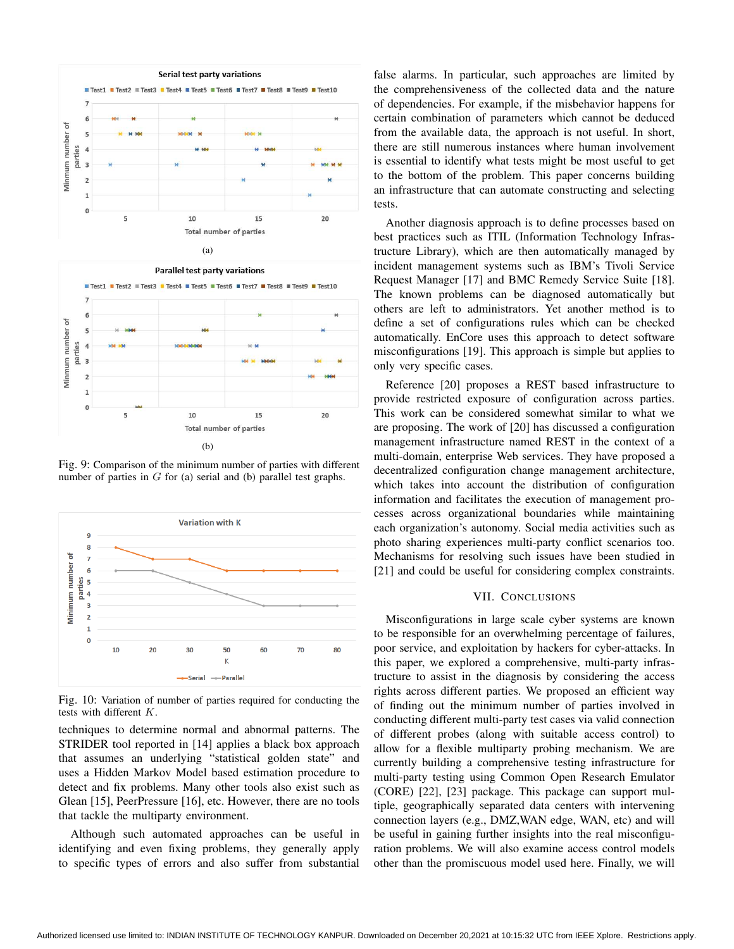



Fig. 9: Comparison of the minimum number of parties with different number of parties in  $G$  for (a) serial and (b) parallel test graphs.



Fig. 10: Variation of number of parties required for conducting the tests with different K.

techniques to determine normal and abnormal patterns. The STRIDER tool reported in [14] applies a black box approach that assumes an underlying "statistical golden state" and uses a Hidden Markov Model based estimation procedure to detect and fix problems. Many other tools also exist such as Glean [15], PeerPressure [16], etc. However, there are no tools that tackle the multiparty environment.

Although such automated approaches can be useful in identifying and even fixing problems, they generally apply to specific types of errors and also suffer from substantial false alarms. In particular, such approaches are limited by the comprehensiveness of the collected data and the nature of dependencies. For example, if the misbehavior happens for certain combination of parameters which cannot be deduced from the available data, the approach is not useful. In short, there are still numerous instances where human involvement is essential to identify what tests might be most useful to get to the bottom of the problem. This paper concerns building an infrastructure that can automate constructing and selecting tests.

Another diagnosis approach is to define processes based on best practices such as ITIL (Information Technology Infrastructure Library), which are then automatically managed by incident management systems such as IBM's Tivoli Service Request Manager [17] and BMC Remedy Service Suite [18]. The known problems can be diagnosed automatically but others are left to administrators. Yet another method is to define a set of configurations rules which can be checked automatically. EnCore uses this approach to detect software misconfigurations [19]. This approach is simple but applies to only very specific cases.

Reference [20] proposes a REST based infrastructure to provide restricted exposure of configuration across parties. This work can be considered somewhat similar to what we are proposing. The work of [20] has discussed a configuration management infrastructure named REST in the context of a multi-domain, enterprise Web services. They have proposed a decentralized configuration change management architecture, which takes into account the distribution of configuration information and facilitates the execution of management processes across organizational boundaries while maintaining each organization's autonomy. Social media activities such as photo sharing experiences multi-party conflict scenarios too. Mechanisms for resolving such issues have been studied in [21] and could be useful for considering complex constraints.

#### VII. CONCLUSIONS

Misconfigurations in large scale cyber systems are known to be responsible for an overwhelming percentage of failures, poor service, and exploitation by hackers for cyber-attacks. In this paper, we explored a comprehensive, multi-party infrastructure to assist in the diagnosis by considering the access rights across different parties. We proposed an efficient way of finding out the minimum number of parties involved in conducting different multi-party test cases via valid connection of different probes (along with suitable access control) to allow for a flexible multiparty probing mechanism. We are currently building a comprehensive testing infrastructure for multi-party testing using Common Open Research Emulator (CORE) [22], [23] package. This package can support multiple, geographically separated data centers with intervening connection layers (e.g., DMZ,WAN edge, WAN, etc) and will be useful in gaining further insights into the real misconfiguration problems. We will also examine access control models other than the promiscuous model used here. Finally, we will